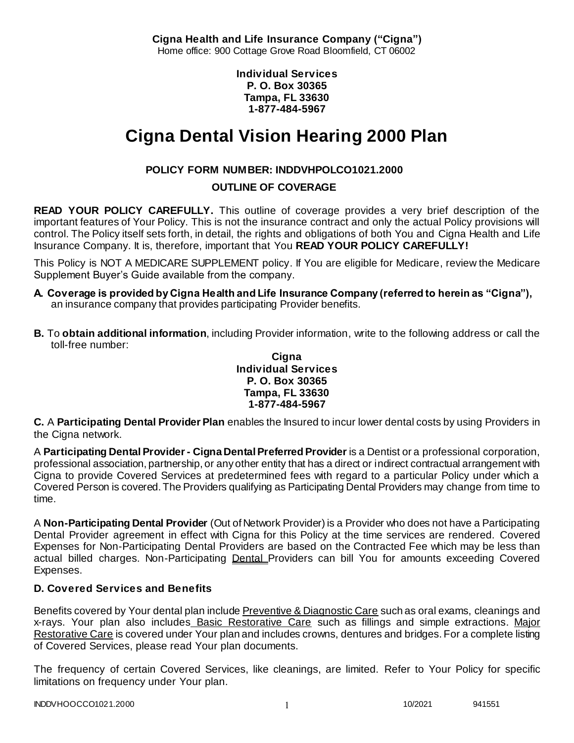**Cigna Health and Life Insurance Company ("Cigna")** Home office: 900 Cottage Grove Road Bloomfield, CT 06002

> **Individual Services P. O. Box 30365 Tampa, FL 33630 1-877-484-5967**

# **Cigna Dental Vision Hearing 2000 Plan**

# **POLICY FORM NUMBER: INDDVHPOLCO1021.2000**

**OUTLINE OF COVERAGE** 

**READ YOUR POLICY CAREFULLY.** This outline of coverage provides a very brief description of the important features of Your Policy. This is not the insurance contract and only the actual Policy provisions will control. The Policy itself sets forth, in detail, the rights and obligations of both You and Cigna Health and Life Insurance Company. It is, therefore, important that You **READ YOUR POLICY CAREFULLY!** 

This Policy is NOT A MEDICARE SUPPLEMENT policy. If You are eligible for Medicare, review the Medicare Supplement Buyer's Guide available from the company.

- **A. Coverage is provided by Cigna Health and Life Insurance Company (referred to herein as "Cigna"),**  an insurance company that provides participating Provider benefits.
- **B.** To **obtain additional information**, including Provider information, write to the following address or call the toll-free number:

**Cigna Individual Services P. O. Box 30365 Tampa, FL 33630 1-877-484-5967**

**C.** A **Participating Dental Provider Plan** enables the Insured to incur lower dental costs by using Providers in the Cigna network.

A **Participating Dental Provider - Cigna Dental Preferred Provider** is a Dentist or a professional corporation, professional association, partnership, or any other entity that has a direct or indirect contractual arrangement with Cigna to provide Covered Services at predetermined fees with regard to a particular Policy under which a Covered Person is covered. The Providers qualifying as Participating Dental Providers may change from time to time.

A **Non-Participating Dental Provider** (Out of Network Provider) is a Provider who does not have a Participating Dental Provider agreement in effect with Cigna for this Policy at the time services are rendered. Covered Expenses for Non-Participating Dental Providers are based on the Contracted Fee which may be less than actual billed charges. Non-Participating Dental Providers can bill You for amounts exceeding Covered Expenses.

# **D. Covered Services and Benefits**

Benefits covered by Your dental plan include Preventive & Diagnostic Care such as oral exams, cleanings and x-rays. Your plan also includes Basic Restorative Care such as fillings and simple extractions. Major Restorative Care is covered under Your plan and includes crowns, dentures and bridges. For a complete listing of Covered Services, please read Your plan documents.

The frequency of certain Covered Services, like cleanings, are limited. Refer to Your Policy for specific limitations on frequency under Your plan.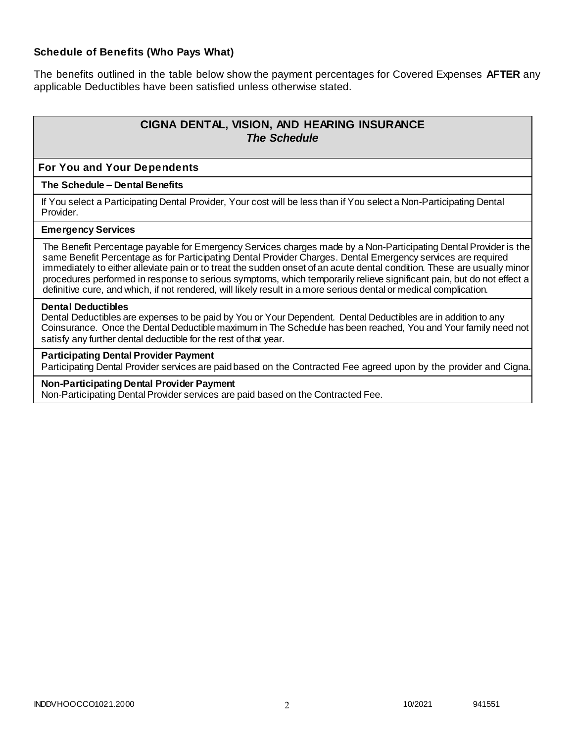## **Schedule of Benefits (Who Pays What)**

The benefits outlined in the table below show the payment percentages for Covered Expenses **AFTER** any applicable Deductibles have been satisfied unless otherwise stated.

# **CIGNA DENTAL, VISION, AND HEARING INSURANCE** *The Schedule*

#### **For You and Your Dependents**

#### **The Schedule – Dental Benefits**

If You select a Participating Dental Provider, Your cost will be less than if You select a Non-Participating Dental Provider.

#### **Emergency Services**

The Benefit Percentage payable for Emergency Services charges made by a Non-Participating Dental Provider is the same Benefit Percentage as for Participating Dental Provider Charges. Dental Emergency services are required immediately to either alleviate pain or to treat the sudden onset of an acute dental condition. These are usually minor procedures performed in response to serious symptoms, which temporarily relieve significant pain, but do not effect a definitive cure, and which, if not rendered, will likely result in a more serious dental or medical complication.

#### **Dental Deductibles**

Dental Deductibles are expenses to be paid by You or Your Dependent. Dental Deductibles are in addition to any Coinsurance. Once the Dental Deductible maximum in The Schedule has been reached, You and Your family need not satisfy any further dental deductible for the rest of that year.

#### **Participating Dental Provider Payment**

Participating Dental Provider services are paid based on the Contracted Fee agreed upon by the provider and Cigna.

#### **Non-Participating Dental Provider Payment**

Non-Participating Dental Provider services are paid based on the Contracted Fee.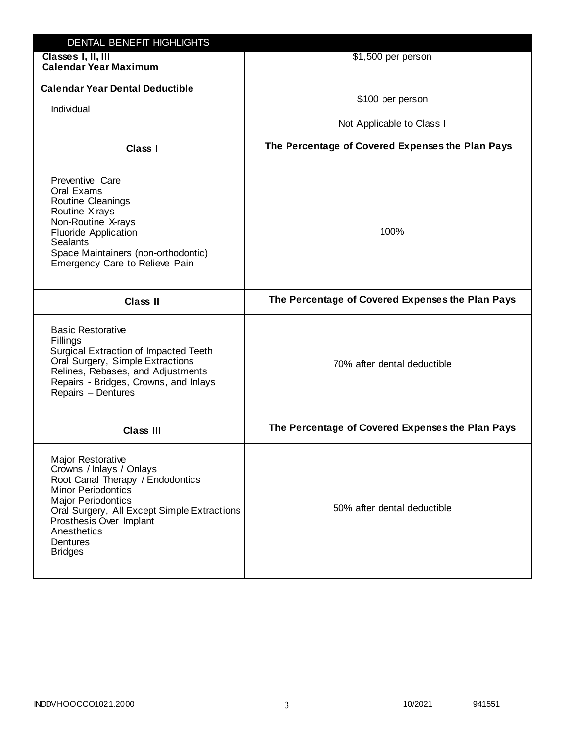| DENTAL BENEFIT HIGHLIGHTS                                                                                                                                                                                                                                                 |                                                  |
|---------------------------------------------------------------------------------------------------------------------------------------------------------------------------------------------------------------------------------------------------------------------------|--------------------------------------------------|
| Classes I, II, III<br><b>Calendar Year Maximum</b>                                                                                                                                                                                                                        | \$1,500 per person                               |
| <b>Calendar Year Dental Deductible</b><br>Individual                                                                                                                                                                                                                      | \$100 per person<br>Not Applicable to Class I    |
| <b>Class I</b>                                                                                                                                                                                                                                                            | The Percentage of Covered Expenses the Plan Pays |
| Preventive Care<br>Oral Exams<br>Routine Cleanings<br>Routine X-rays<br>Non-Routine X-rays<br><b>Fluoride Application</b><br><b>Sealants</b><br>Space Maintainers (non-orthodontic)<br>Emergency Care to Relieve Pain                                                     | 100%                                             |
| <b>Class II</b>                                                                                                                                                                                                                                                           | The Percentage of Covered Expenses the Plan Pays |
| <b>Basic Restorative</b><br>Fillings<br>Surgical Extraction of Impacted Teeth<br>Oral Surgery, Simple Extractions<br>Relines, Rebases, and Adjustments<br>Repairs - Bridges, Crowns, and Inlays<br>Repairs - Dentures                                                     | 70% after dental deductible                      |
| <b>Class III</b>                                                                                                                                                                                                                                                          | The Percentage of Covered Expenses the Plan Pays |
| <b>Major Restorative</b><br>Crowns / Inlays / Onlays<br>Root Canal Therapy / Endodontics<br><b>Minor Periodontics</b><br><b>Major Periodontics</b><br>Oral Surgery, All Except Simple Extractions<br>Prosthesis Over Implant<br>Anesthetics<br>Dentures<br><b>Bridges</b> | 50% after dental deductible                      |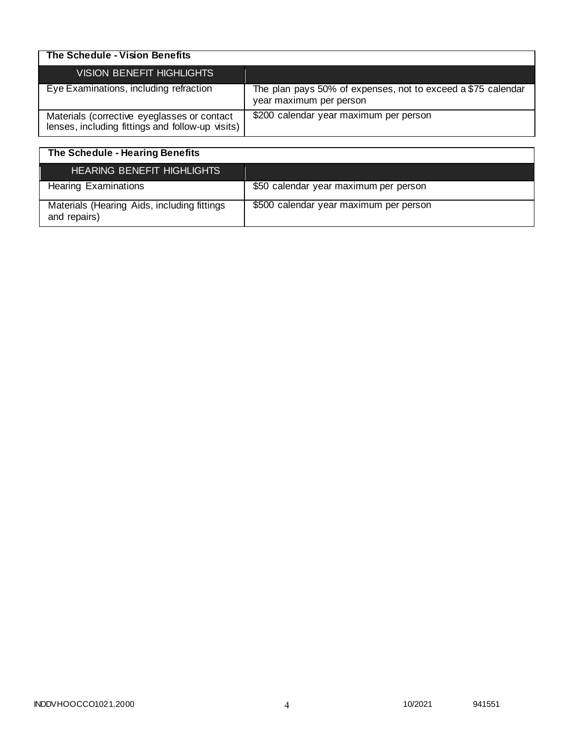| The Schedule - Vision Benefits                                                                  |                                                                                         |
|-------------------------------------------------------------------------------------------------|-----------------------------------------------------------------------------------------|
| VISION BENEFIT HIGHLIGHTS                                                                       |                                                                                         |
| Eye Examinations, including refraction                                                          | The plan pays 50% of expenses, not to exceed a \$75 calendar<br>year maximum per person |
| Materials (corrective eyeglasses or contact<br>lenses, including fittings and follow-up visits) | \$200 calendar year maximum per person                                                  |

| The Schedule - Hearing Benefits                             |                                        |
|-------------------------------------------------------------|----------------------------------------|
| <b>HEARING BENEFIT HIGHLIGHTS</b>                           |                                        |
| <b>Hearing Examinations</b>                                 | \$50 calendar year maximum per person  |
| Materials (Hearing Aids, including fittings<br>and repairs) | \$500 calendar year maximum per person |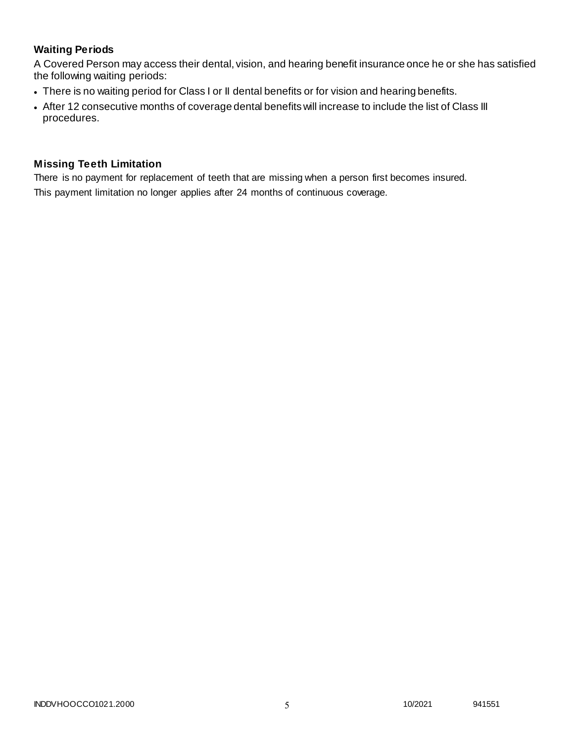# **Waiting Periods**

A Covered Person may access their dental, vision, and hearing benefit insurance once he or she has satisfied the following waiting periods:

- There is no waiting period for Class I or II dental benefits or for vision and hearing benefits.
- After 12 consecutive months of coverage dental benefits will increase to include the list of Class III procedures.

## **Missing Teeth Limitation**

There is no payment for replacement of teeth that are missing when a person first becomes insured.

This payment limitation no longer applies after 24 months of continuous coverage.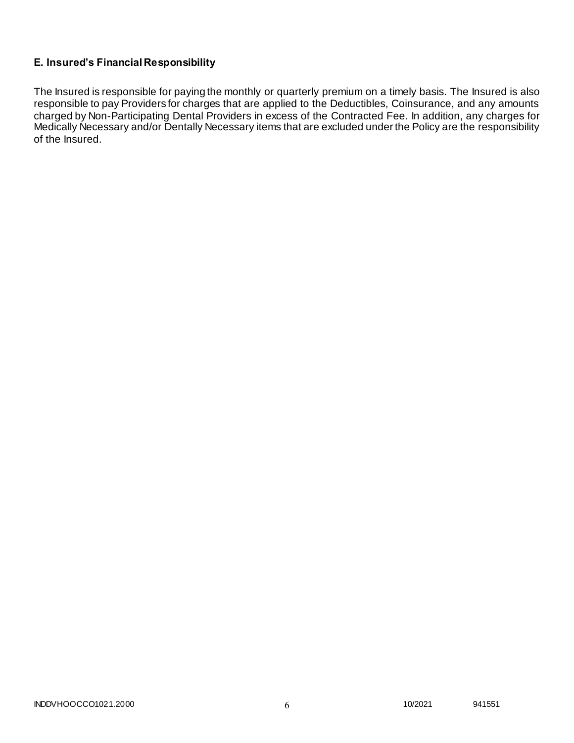## **E. Insured's Financial Responsibility**

The Insured is responsible for paying the monthly or quarterly premium on a timely basis. The Insured is also responsible to pay Providers for charges that are applied to the Deductibles, Coinsurance, and any amounts charged by Non-Participating Dental Providers in excess of the Contracted Fee. In addition, any charges for Medically Necessary and/or Dentally Necessary items that are excluded under the Policy are the responsibility of the Insured.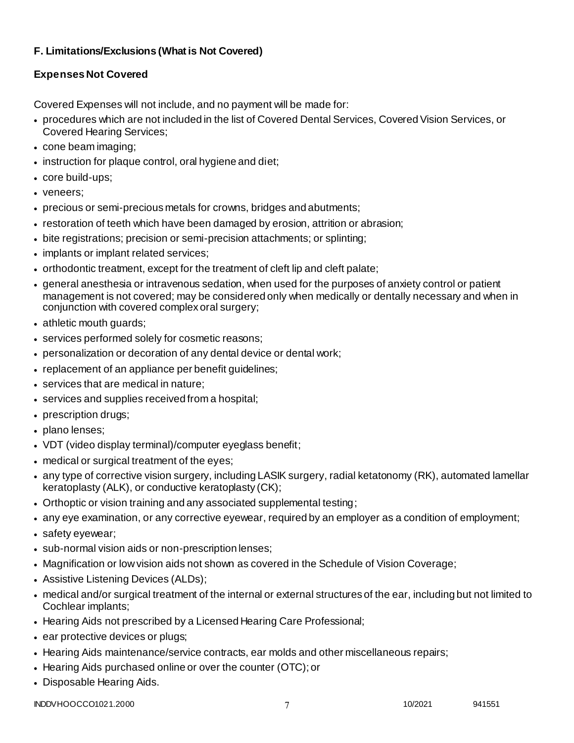# **F. Limitations/Exclusions (What is Not Covered)**

# **Expenses Not Covered**

Covered Expenses will not include, and no payment will be made for:

- procedures which are not included in the list of Covered Dental Services, Covered Vision Services, or Covered Hearing Services;
- cone beam imaging;
- instruction for plaque control, oral hygiene and diet;
- core build-ups;
- veneers;
- precious or semi-precious metals for crowns, bridges and abutments;
- restoration of teeth which have been damaged by erosion, attrition or abrasion;
- bite registrations; precision or semi-precision attachments; or splinting;
- implants or implant related services;
- orthodontic treatment, except for the treatment of cleft lip and cleft palate;
- general anesthesia or intravenous sedation, when used for the purposes of anxiety control or patient management is not covered; may be considered only when medically or dentally necessary and when in conjunction with covered complex oral surgery;
- athletic mouth guards;
- services performed solely for cosmetic reasons;
- personalization or decoration of any dental device or dental work;
- replacement of an appliance per benefit guidelines;
- services that are medical in nature:
- services and supplies received from a hospital;
- prescription drugs;
- plano lenses:
- VDT (video display terminal)/computer eyeglass benefit;
- medical or surgical treatment of the eyes;
- any type of corrective vision surgery, including LASIK surgery, radial ketatonomy (RK), automated lamellar keratoplasty (ALK), or conductive keratoplasty (CK);
- Orthoptic or vision training and any associated supplemental testing;
- any eye examination, or any corrective eyewear, required by an employer as a condition of employment;
- safety eyewear;
- sub-normal vision aids or non-prescription lenses;
- Magnification or low vision aids not shown as covered in the Schedule of Vision Coverage;
- Assistive Listening Devices (ALDs);
- medical and/or surgical treatment of the internal or external structures of the ear, including but not limited to Cochlear implants;
- Hearing Aids not prescribed by a Licensed Hearing Care Professional;
- ear protective devices or plugs;
- Hearing Aids maintenance/service contracts, ear molds and other miscellaneous repairs;
- Hearing Aids purchased online or over the counter (OTC); or
- Disposable Hearing Aids.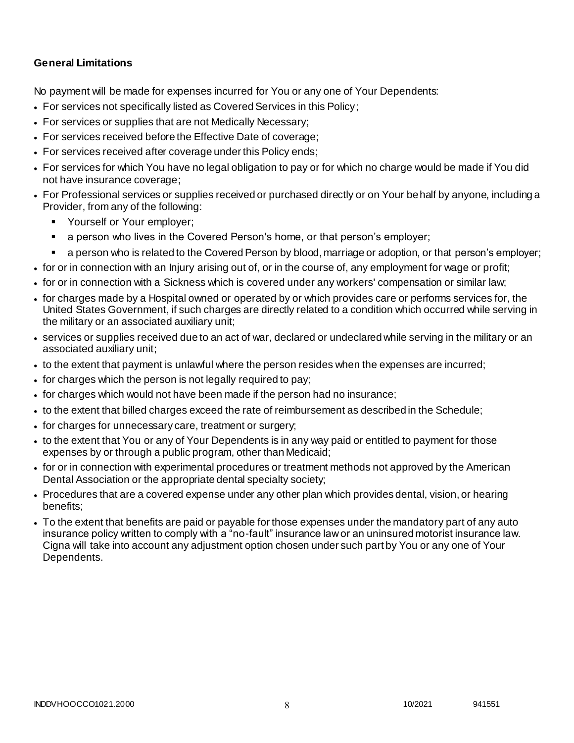## **General Limitations**

No payment will be made for expenses incurred for You or any one of Your Dependents:

- For services not specifically listed as Covered Services in this Policy;
- For services or supplies that are not Medically Necessary;
- For services received before the Effective Date of coverage;
- For services received after coverage under this Policy ends;
- For services for which You have no legal obligation to pay or for which no charge would be made if You did not have insurance coverage;
- For Professional services or supplies received or purchased directly or on Your behalf by anyone, including a Provider, from any of the following:
	- **Yourself or Your employer;**
	- a person who lives in the Covered Person's home, or that person's employer;
	- a person who is related to the Covered Person by blood, marriage or adoption, or that person's employer;
- for or in connection with an Injury arising out of, or in the course of, any employment for wage or profit;
- for or in connection with a Sickness which is covered under any workers' compensation or similar law;
- for charges made by a Hospital owned or operated by or which provides care or performs services for, the United States Government, if such charges are directly related to a condition which occurred while serving in the military or an associated auxiliary unit;
- services or supplies received due to an act of war, declared or undeclared while serving in the military or an associated auxiliary unit;
- to the extent that payment is unlawful where the person resides when the expenses are incurred;
- for charges which the person is not legally required to pay;
- for charges which would not have been made if the person had no insurance;
- to the extent that billed charges exceed the rate of reimbursement as described in the Schedule;
- for charges for unnecessary care, treatment or surgery;
- to the extent that You or any of Your Dependents is in any way paid or entitled to payment for those expenses by or through a public program, other than Medicaid;
- for or in connection with experimental procedures or treatment methods not approved by the American Dental Association or the appropriate dental specialty society;
- Procedures that are a covered expense under any other plan which provides dental, vision, or hearing benefits;
- To the extent that benefits are paid or payable for those expenses under the mandatory part of any auto insurance policy written to comply with a "no-fault" insurance law or an uninsured motorist insurance law. Cigna will take into account any adjustment option chosen under such part by You or any one of Your Dependents.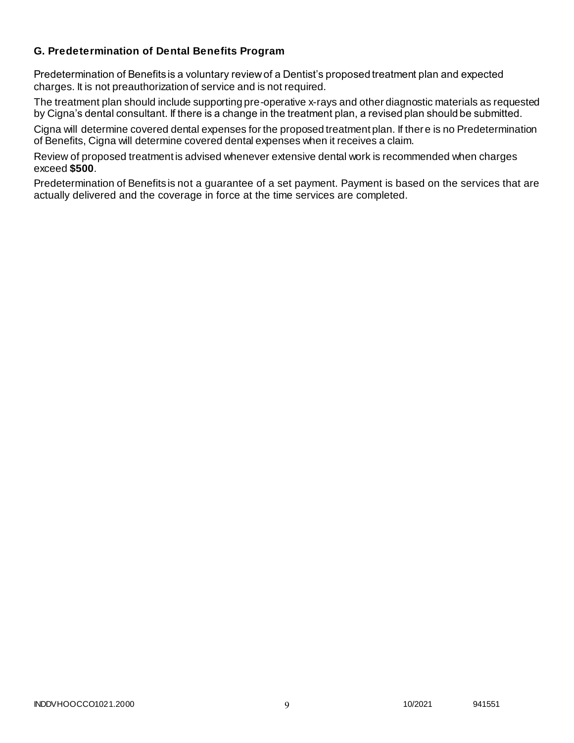## **G. Predetermination of Dental Benefits Program**

Predetermination of Benefits is a voluntary review of a Dentist's proposed treatment plan and expected charges. It is not preauthorization of service and is not required.

The treatment plan should include supporting pre-operative x-rays and other diagnostic materials as requested by Cigna's dental consultant. If there is a change in the treatment plan, a revised plan should be submitted.

Cigna will determine covered dental expenses for the proposed treatment plan. If there is no Predetermination of Benefits, Cigna will determine covered dental expenses when it receives a claim.

Review of proposed treatment is advised whenever extensive dental work is recommended when charges exceed **\$500**.

Predetermination of Benefits is not a guarantee of a set payment. Payment is based on the services that are actually delivered and the coverage in force at the time services are completed.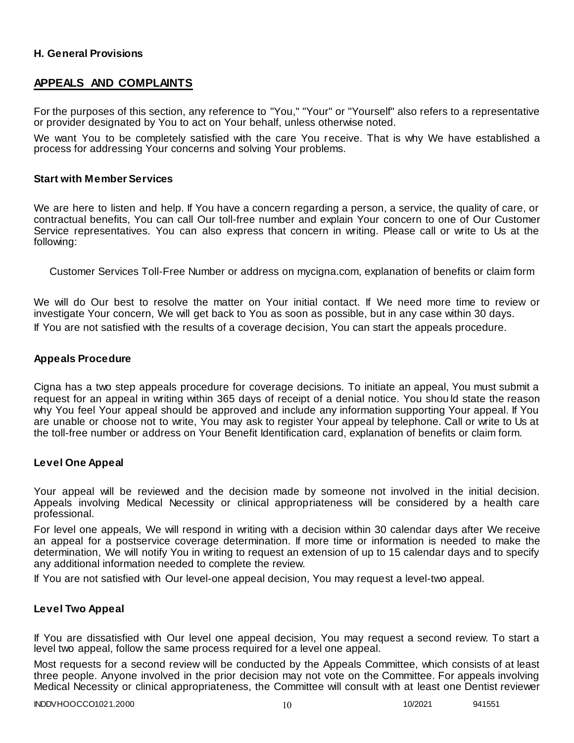## **H. General Provisions**

# **APPEALS AND COMPLAINTS**

For the purposes of this section, any reference to "You," "Your" or "Yourself" also refers to a representative or provider designated by You to act on Your behalf, unless otherwise noted.

We want You to be completely satisfied with the care You receive. That is why We have established a process for addressing Your concerns and solving Your problems.

#### **Start with Member Services**

We are here to listen and help. If You have a concern regarding a person, a service, the quality of care, or contractual benefits, You can call Our toll-free number and explain Your concern to one of Our Customer Service representatives. You can also express that concern in writing. Please call or write to Us at the following:

Customer Services Toll-Free Number or address on mycigna.com, explanation of benefits or claim form

We will do Our best to resolve the matter on Your initial contact. If We need more time to review or investigate Your concern, We will get back to You as soon as possible, but in any case within 30 days. If You are not satisfied with the results of a coverage decision, You can start the appeals procedure.

## **Appeals Procedure**

Cigna has a two step appeals procedure for coverage decisions. To initiate an appeal, You must submit a request for an appeal in writing within 365 days of receipt of a denial notice. You shou ld state the reason why You feel Your appeal should be approved and include any information supporting Your appeal. If You are unable or choose not to write, You may ask to register Your appeal by telephone. Call or write to Us at the toll-free number or address on Your Benefit Identification card, explanation of benefits or claim form.

#### **Level One Appeal**

Your appeal will be reviewed and the decision made by someone not involved in the initial decision. Appeals involving Medical Necessity or clinical appropriateness will be considered by a health care professional.

For level one appeals, We will respond in writing with a decision within 30 calendar days after We receive an appeal for a postservice coverage determination. If more time or information is needed to make the determination, We will notify You in writing to request an extension of up to 15 calendar days and to specify any additional information needed to complete the review.

If You are not satisfied with Our level-one appeal decision, You may request a level-two appeal.

#### **Level Two Appeal**

If You are dissatisfied with Our level one appeal decision, You may request a second review. To start a level two appeal, follow the same process required for a level one appeal.

Most requests for a second review will be conducted by the Appeals Committee, which consists of at least three people. Anyone involved in the prior decision may not vote on the Committee. For appeals involving Medical Necessity or clinical appropriateness, the Committee will consult with at least one Dentist reviewer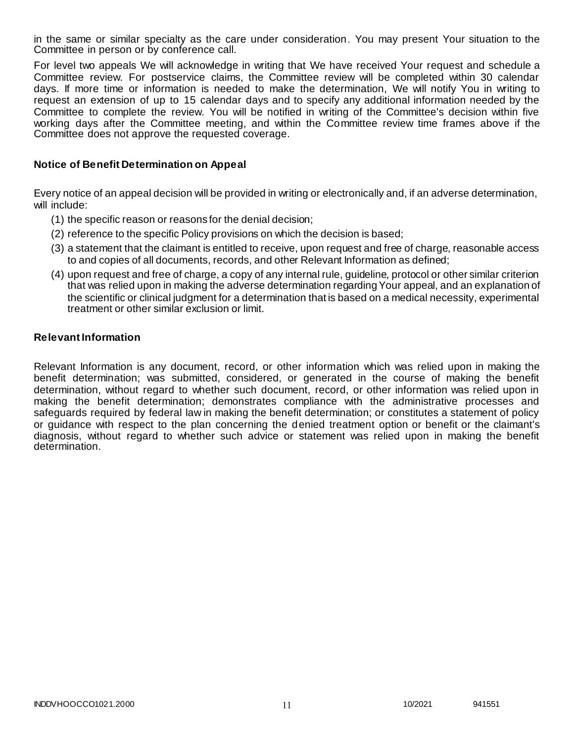in the same or similar specialty as the care under consideration. You may present Your situation to the Committee in person or by conference call.

For level two appeals We will acknowledge in writing that We have received Your request and schedule a Committee review. For postservice claims, the Committee review will be completed within 30 calendar days. If more time or information is needed to make the determination, We will notify You in writing to request an extension of up to 15 calendar days and to specify any additional information needed by the Committee to complete the review. You will be notified in writing of the Committee's decision within five working days after the Committee meeting, and within the Committee review time frames above if the Committee does not approve the requested coverage.

### **Notice of Benefit Determination on Appeal**

Every notice of an appeal decision will be provided in writing or electronically and, if an adverse determination, will include:

- (1) the specific reason or reasons for the denial decision;
- (2) reference to the specific Policy provisions on which the decision is based;
- (3) a statement that the claimant is entitled to receive, upon request and free of charge, reasonable access to and copies of all documents, records, and other Relevant Information as defined;
- (4) upon request and free of charge, a copy of any internal rule, guideline, protocol or other similar criterion that was relied upon in making the adverse determination regarding Your appeal, and an explanation of the scientific or clinical judgment for a determination that is based on a medical necessity, experimental treatment or other similar exclusion or limit.

#### **Relevant Information**

Relevant Information is any document, record, or other information which was relied upon in making the benefit determination; was submitted, considered, or generated in the course of making the benefit determination, without regard to whether such document, record, or other information was relied upon in making the benefit determination; demonstrates compliance with the administrative processes and safeguards required by federal law in making the benefit determination; or constitutes a statement of policy or guidance with respect to the plan concerning the denied treatment option or benefit or the claimant's diagnosis, without regard to whether such advice or statement was relied upon in making the benefit determination.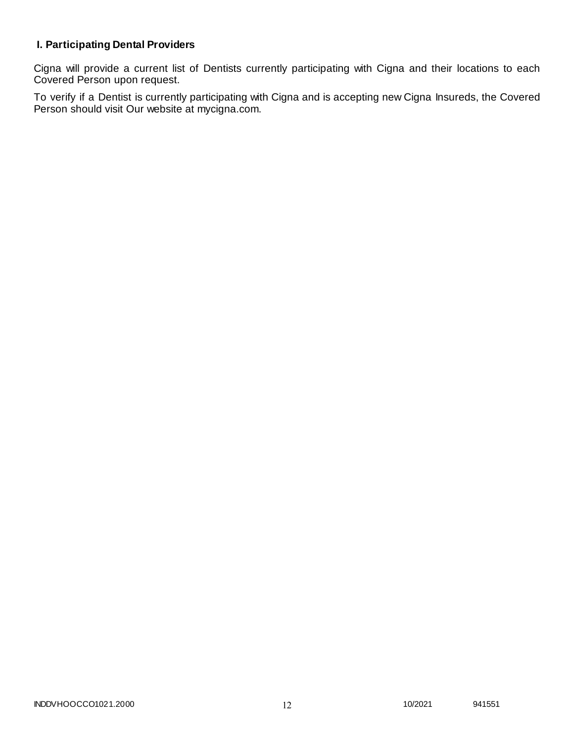# **I. Participating Dental Providers**

Cigna will provide a current list of Dentists currently participating with Cigna and their locations to each Covered Person upon request.

To verify if a Dentist is currently participating with Cigna and is accepting new Cigna Insureds, the Covered Person should visit Our website at mycigna.com.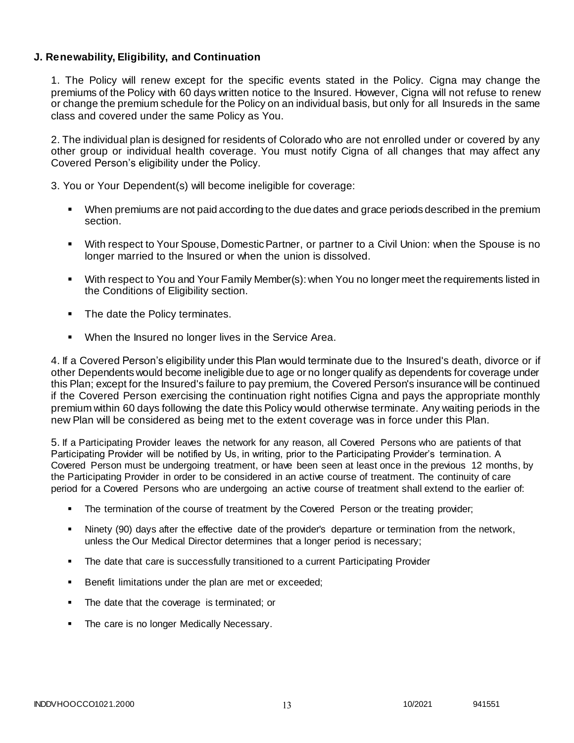## **J. Renewability, Eligibility, and Continuation**

1. The Policy will renew except for the specific events stated in the Policy. Cigna may change the premiums of the Policy with 60 days written notice to the Insured. However, Cigna will not refuse to renew or change the premium schedule for the Policy on an individual basis, but only for all Insureds in the same class and covered under the same Policy as You.

2. The individual plan is designed for residents of Colorado who are not enrolled under or covered by any other group or individual health coverage. You must notify Cigna of all changes that may affect any Covered Person's eligibility under the Policy.

3. You or Your Dependent(s) will become ineligible for coverage:

- When premiums are not paid according to the due dates and grace periods described in the premium section.
- With respect to Your Spouse, Domestic Partner, or partner to a Civil Union: when the Spouse is no longer married to the Insured or when the union is dissolved.
- With respect to You and Your Family Member(s): when You no longer meet the requirements listed in the Conditions of Eligibility section.
- The date the Policy terminates.
- **When the Insured no longer lives in the Service Area.**

4. If a Covered Person's eligibility under this Plan would terminate due to the Insured's death, divorce or if other Dependents would become ineligible due to age or no longer qualify as dependents for coverage under this Plan; except for the Insured's failure to pay premium, the Covered Person's insurance will be continued if the Covered Person exercising the continuation right notifies Cigna and pays the appropriate monthly premium within 60 days following the date this Policy would otherwise terminate. Any waiting periods in the new Plan will be considered as being met to the extent coverage was in force under this Plan.

5. If a Participating Provider leaves the network for any reason, all Covered Persons who are patients of that Participating Provider will be notified by Us, in writing, prior to the Participating Provider's termination. A Covered Person must be undergoing treatment, or have been seen at least once in the previous 12 months, by the Participating Provider in order to be considered in an active course of treatment. The continuity of care period for a Covered Persons who are undergoing an active course of treatment shall extend to the earlier of:

- The termination of the course of treatment by the Covered Person or the treating provider;
- Ninety (90) days after the effective date of the provider's departure or termination from the network, unless the Our Medical Director determines that a longer period is necessary;
- The date that care is successfully transitioned to a current Participating Provider
- Benefit limitations under the plan are met or exceeded;
- The date that the coverage is terminated; or
- The care is no longer Medically Necessary.